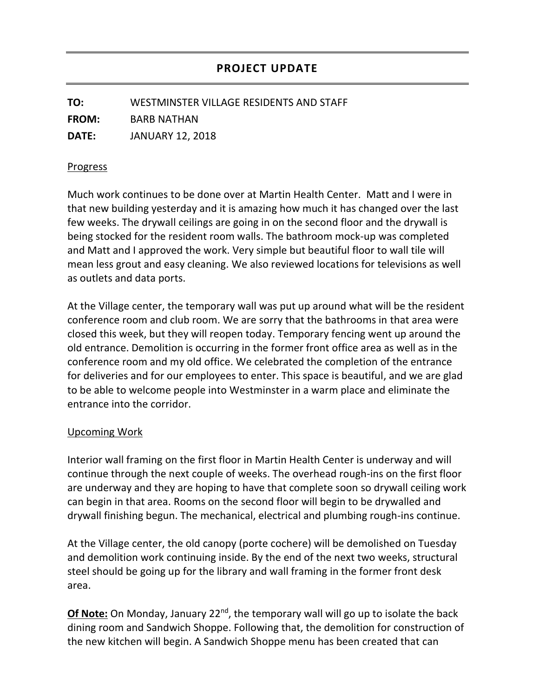**TO:** WESTMINSTER VILLAGE RESIDENTS AND STAFF **FROM:** BARB NATHAN **DATE:** JANUARY 12, 2018

## Progress

Much work continues to be done over at Martin Health Center. Matt and I were in that new building yesterday and it is amazing how much it has changed over the last few weeks. The drywall ceilings are going in on the second floor and the drywall is being stocked for the resident room walls. The bathroom mock-up was completed and Matt and I approved the work. Very simple but beautiful floor to wall tile will mean less grout and easy cleaning. We also reviewed locations for televisions as well as outlets and data ports.

At the Village center, the temporary wall was put up around what will be the resident conference room and club room. We are sorry that the bathrooms in that area were closed this week, but they will reopen today. Temporary fencing went up around the old entrance. Demolition is occurring in the former front office area as well as in the conference room and my old office. We celebrated the completion of the entrance for deliveries and for our employees to enter. This space is beautiful, and we are glad to be able to welcome people into Westminster in a warm place and eliminate the entrance into the corridor.

## Upcoming Work

Interior wall framing on the first floor in Martin Health Center is underway and will continue through the next couple of weeks. The overhead rough-ins on the first floor are underway and they are hoping to have that complete soon so drywall ceiling work can begin in that area. Rooms on the second floor will begin to be drywalled and drywall finishing begun. The mechanical, electrical and plumbing rough-ins continue.

At the Village center, the old canopy (porte cochere) will be demolished on Tuesday and demolition work continuing inside. By the end of the next two weeks, structural steel should be going up for the library and wall framing in the former front desk area.

**Of Note:** On Monday, January 22<sup>nd</sup>, the temporary wall will go up to isolate the back dining room and Sandwich Shoppe. Following that, the demolition for construction of the new kitchen will begin. A Sandwich Shoppe menu has been created that can